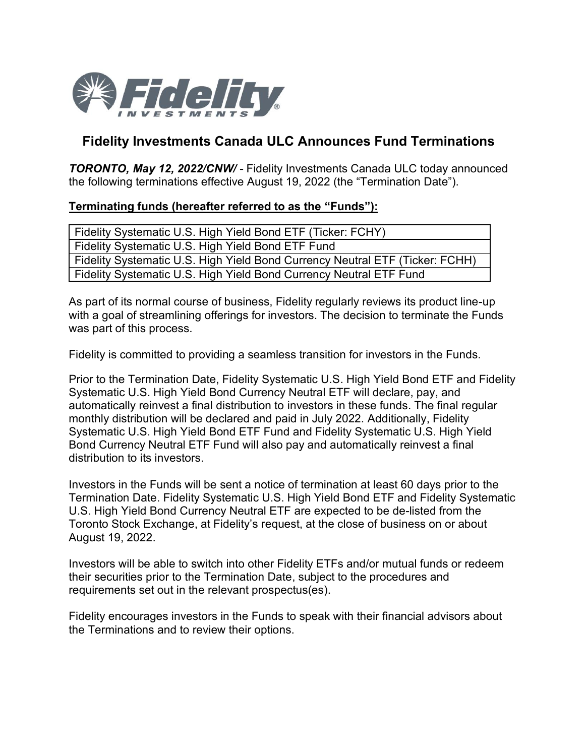

## **Fidelity Investments Canada ULC Announces Fund Terminations**

*TORONTO, May 12, 2022/CNW/ -* Fidelity Investments Canada ULC today announced the following terminations effective August 19, 2022 (the "Termination Date").

## **Terminating funds (hereafter referred to as the "Funds"):**

| Fidelity Systematic U.S. High Yield Bond ETF (Ticker: FCHY)                  |
|------------------------------------------------------------------------------|
| Fidelity Systematic U.S. High Yield Bond ETF Fund                            |
| Fidelity Systematic U.S. High Yield Bond Currency Neutral ETF (Ticker: FCHH) |
| Fidelity Systematic U.S. High Yield Bond Currency Neutral ETF Fund           |

As part of its normal course of business, Fidelity regularly reviews its product line-up with a goal of streamlining offerings for investors. The decision to terminate the Funds was part of this process.

Fidelity is committed to providing a seamless transition for investors in the Funds.

Prior to the Termination Date, Fidelity Systematic U.S. High Yield Bond ETF and Fidelity Systematic U.S. High Yield Bond Currency Neutral ETF will declare, pay, and automatically reinvest a final distribution to investors in these funds. The final regular monthly distribution will be declared and paid in July 2022. Additionally, Fidelity Systematic U.S. High Yield Bond ETF Fund and Fidelity Systematic U.S. High Yield Bond Currency Neutral ETF Fund will also pay and automatically reinvest a final distribution to its investors.

Investors in the Funds will be sent a notice of termination at least 60 days prior to the Termination Date. Fidelity Systematic U.S. High Yield Bond ETF and Fidelity Systematic U.S. High Yield Bond Currency Neutral ETF are expected to be de-listed from the Toronto Stock Exchange, at Fidelity's request, at the close of business on or about August 19, 2022.

Investors will be able to switch into other Fidelity ETFs and/or mutual funds or redeem their securities prior to the Termination Date, subject to the procedures and requirements set out in the relevant prospectus(es).

Fidelity encourages investors in the Funds to speak with their financial advisors about the Terminations and to review their options.